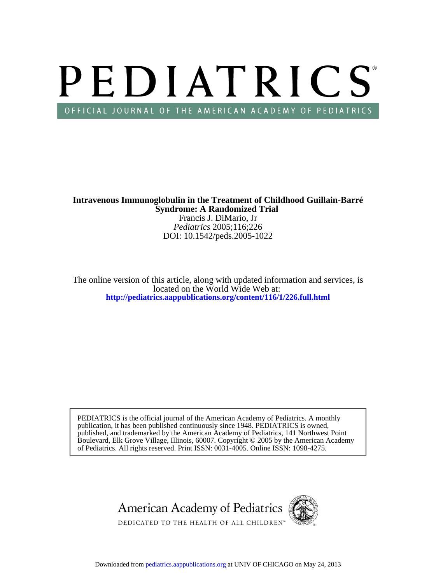# PEDIATRICS OFFICIAL JOURNAL OF THE AMERICAN ACADEMY OF PEDIATRICS

**Syndrome: A Randomized Trial Intravenous Immunoglobulin in the Treatment of Childhood Guillain-Barré**

DOI: 10.1542/peds.2005-1022 *Pediatrics* 2005;116;226 Francis J. DiMario, Jr

**<http://pediatrics.aappublications.org/content/116/1/226.full.html>** located on the World Wide Web at: The online version of this article, along with updated information and services, is

of Pediatrics. All rights reserved. Print ISSN: 0031-4005. Online ISSN: 1098-4275. Boulevard, Elk Grove Village, Illinois, 60007. Copyright © 2005 by the American Academy published, and trademarked by the American Academy of Pediatrics, 141 Northwest Point publication, it has been published continuously since 1948. PEDIATRICS is owned, PEDIATRICS is the official journal of the American Academy of Pediatrics. A monthly

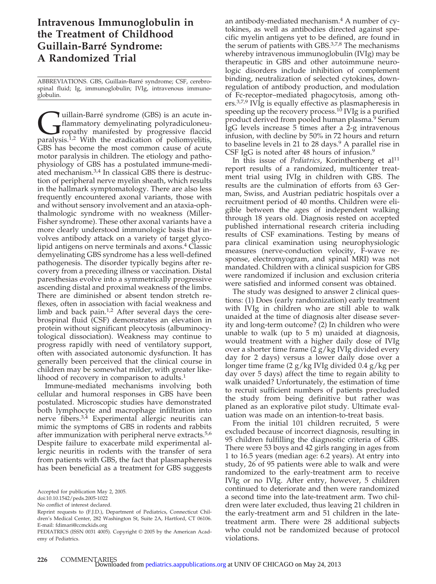## **Intravenous Immunoglobulin in the Treatment of Childhood Guillain-Barre´ Syndrome: A Randomized Trial**

ABBREVIATIONS. GBS, Guillain-Barré syndrome; CSF, cerebrospinal fluid; Ig, immunoglobulin; IVIg, intravenous immunoglobulin.

**Cuillain-Barré** syndrome (GBS) is an acute in-<br>flammatory demyelinating polyradiculoneu-<br>paralysis.<sup>1,2</sup> With the eradication of poliomyelitis, flammatory demyelinating polyradiculoneuropathy manifested by progressive flaccid GBS has become the most common cause of acute motor paralysis in children. The etiology and pathophysiology of GBS has a postulated immune-mediated mechanism.3,4 In classical GBS there is destruction of peripheral nerve myelin sheath, which results in the hallmark symptomatology. There are also less frequently encountered axonal variants, those with and without sensory involvement and an ataxia-ophthalmologic syndrome with no weakness (Miller-Fisher syndrome). These other axonal variants have a more clearly understood immunologic basis that involves antibody attack on a variety of target glycolipid antigens on nerve terminals and axons.4 Classic demyelinating GBS syndrome has a less well-defined pathogenesis. The disorder typically begins after recovery from a preceding illness or vaccination. Distal paresthesias evolve into a symmetrically progressive ascending distal and proximal weakness of the limbs. There are diminished or absent tendon stretch reflexes, often in association with facial weakness and limb and back pain.<sup>1,2</sup> After several days the cerebrospinal fluid (CSF) demonstrates an elevation in protein without significant pleocytosis (albuminocytological dissociation). Weakness may continue to progress rapidly with need of ventilatory support, often with associated autonomic dysfunction. It has generally been perceived that the clinical course in children may be somewhat milder, with greater likelihood of recovery in comparison to adults.<sup>1</sup>

Immune-mediated mechanisms involving both cellular and humoral responses in GBS have been postulated. Microscopic studies have demonstrated both lymphocyte and macrophage infiltration into nerve fibers.3,4 Experimental allergic neuritis can mimic the symptoms of GBS in rodents and rabbits after immunization with peripheral nerve extracts.<sup>5,6</sup> Despite failure to exacerbate mild experimental allergic neuritis in rodents with the transfer of sera from patients with GBS, the fact that plasmapheresis has been beneficial as a treatment for GBS suggests

doi:10.10.1542/peds.2005-1022

No conflict of interest declared.

an antibody-mediated mechanism.4 A number of cytokines, as well as antibodies directed against specific myelin antigens yet to be defined, are found in the serum of patients with GBS.3,7,8 The mechanisms whereby intravenous immunoglobulin (IVIg) may be therapeutic in GBS and other autoimmune neurologic disorders include inhibition of complement binding, neutralization of selected cytokines, downregulation of antibody production, and modulation of Fc-receptor–mediated phagocytosis, among others.3,7,9 IVIg is equally effective as plasmapheresis in speeding up the recovery process.<sup>10</sup> IVIg is a purified product derived from pooled human plasma.<sup>9</sup> Serum IgG levels increase 5 times after a 2-g intravenous infusion, with decline by 50% in 72 hours and return to baseline levels in 21 to 28 days. $9$  A parallel rise in CSF IgG is noted after 48 hours of infusion.<sup>9</sup>

In this issue of *Pediatrics*, Korinthenberg et al<sup>11</sup> report results of a randomized, multicenter treatment trial using IVIg in children with GBS. The results are the culmination of efforts from 63 German, Swiss, and Austrian pediatric hospitals over a recruitment period of 40 months. Children were eligible between the ages of independent walking through 18 years old. Diagnosis rested on accepted published international research criteria including results of CSF examinations. Testing by means of para clinical examination using neurophysiologic measures (nerve-conduction velocity, F-wave response, electromyogram, and spinal MRI) was not mandated. Children with a clinical suspicion for GBS were randomized if inclusion and exclusion criteria were satisfied and informed consent was obtained.

The study was designed to answer 2 clinical questions: (1) Does (early randomization) early treatment with IVIg in children who are still able to walk unaided at the time of diagnosis alter disease severity and long-term outcome? (2) In children who were unable to walk (up to 5 m) unaided at diagnosis, would treatment with a higher daily dose of IVIg over a shorter time frame (2 g/kg IVIg divided every day for 2 days) versus a lower daily dose over a longer time frame (2 g/kg IVIg divided 0.4 g/kg per day over 5 days) affect the time to regain ability to walk unaided? Unfortunately, the estimation of time to recruit sufficient numbers of patients precluded the study from being definitive but rather was planed as an explorative pilot study. Ultimate evaluation was made on an intention-to-treat basis.

From the initial 101 children recruited, 5 were excluded because of incorrect diagnosis, resulting in 95 children fulfilling the diagnostic criteria of GBS. There were 53 boys and 42 girls ranging in ages from 1 to 16.5 years (median age: 6.2 years). At entry into study, 26 of 95 patients were able to walk and were randomized to the early-treatment arm to receive IVIg or no IVIg. After entry, however, 5 children continued to deteriorate and then were randomized a second time into the late-treatment arm. Two children were later excluded, thus leaving 21 children in the early-treatment arm and 51 children in the latetreatment arm. There were 28 additional subjects who could not be randomized because of protocol violations.

Accepted for publication May 2, 2005.

Reprint requests to (F.J.D.), Department of Pediatrics, Connecticut Children's Medical Center, 282 Washington St, Suite 2A, Hartford, CT 06106. E-mail: fdimari@ccmckids.org

PEDIATRICS (ISSN 0031 4005). Copyright © 2005 by the American Academy of Pediatrics.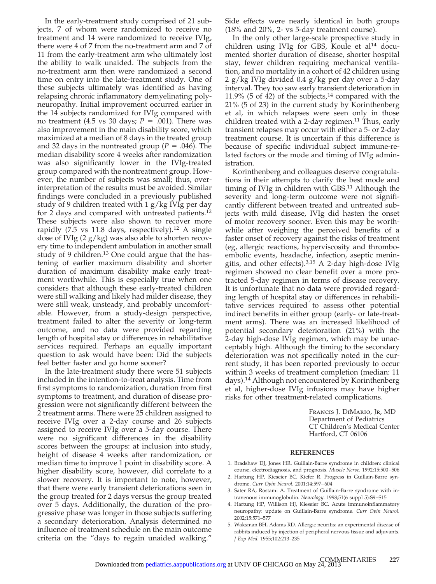In the early-treatment study comprised of 21 subjects, 7 of whom were randomized to receive no treatment and 14 were randomized to receive IVIg, there were 4 of 7 from the no-treatment arm and 7 of 11 from the early-treatment arm who ultimately lost the ability to walk unaided. The subjects from the no-treatment arm then were randomized a second time on entry into the late-treatment study. One of these subjects ultimately was identified as having relapsing chronic inflammatory demyelinating polyneuropathy. Initial improvement occurred earlier in the 14 subjects randomized for IVIg compared with no treatment (4.5 vs 30 days;  $P = .001$ ). There was also improvement in the main disability score, which maximized at a median of 8 days in the treated group and 32 days in the nontreated group ( $P = .046$ ). The median disability score 4 weeks after randomization was also significantly lower in the IVIg-treated group compared with the nontreatment group. However, the number of subjects was small; thus, overinterpretation of the results must be avoided. Similar findings were concluded in a previously published study of 9 children treated with 1 g/kg IVIg per day for 2 days and compared with untreated patients.<sup>12</sup> These subjects were also shown to recover more rapidly  $(7.5 \text{ vs } 11.8 \text{ days}, \text{ respectively.}^{12} \text{ A single})$ dose of IVIg  $(2 g/kg)$  was also able to shorten recovery time to independent ambulation in another small study of 9 children. $13$  One could argue that the hastening of earlier maximum disability and shorter duration of maximum disability make early treatment worthwhile. This is especially true when one considers that although these early-treated children were still walking and likely had milder disease, they were still weak, unsteady, and probably uncomfortable. However, from a study-design perspective, treatment failed to alter the severity or long-term outcome, and no data were provided regarding length of hospital stay or differences in rehabilitative services required. Perhaps an equally important question to ask would have been: Did the subjects feel better faster and go home sooner?

In the late-treatment study there were 51 subjects included in the intention-to-treat analysis. Time from first symptoms to randomization, duration from first symptoms to treatment, and duration of disease progression were not significantly different between the 2 treatment arms. There were 25 children assigned to receive IVIg over a 2-day course and 26 subjects assigned to receive IVIg over a 5-day course. There were no significant differences in the disability scores between the groups: at inclusion into study, height of disease 4 weeks after randomization, or median time to improve 1 point in disability score. A higher disability score, however, did correlate to a slower recovery. It is important to note, however, that there were early transient deteriorations seen in the group treated for 2 days versus the group treated over 5 days. Additionally, the duration of the progressive phase was longer in those subjects suffering a secondary deterioration. Analysis determined no influence of treatment schedule on the main outcome criteria on the "days to regain unaided walking."

Side effects were nearly identical in both groups (18% and 20%, 2- vs 5-day treatment course).

In the only other large-scale prospective study in children using IVIg for GBS, Koule et al<sup>14</sup> documented shorter duration of disease, shorter hospital stay, fewer children requiring mechanical ventilation, and no mortality in a cohort of 42 children using 2 g/kg IVIg divided 0.4 g/kg per day over a 5-day interval. They too saw early transient deterioration in 11.9% (5 of  $\dot{4}2$ ) of the subjects,<sup>14</sup> compared with the 21% (5 of 23) in the current study by Korinthenberg et al, in which relapses were seen only in those children treated with a 2-day regimen.<sup>11</sup> Thus, early transient relapses may occur with either a 5- or 2-day treatment course. It is uncertain if this difference is because of specific individual subject immune-related factors or the mode and timing of IVIg administration.

Korinthenberg and colleagues deserve congratulations in their attempts to clarify the best mode and timing of IVIg in children with GBS.11 Although the severity and long-term outcome were not significantly different between treated and untreated subjects with mild disease, IVIg did hasten the onset of motor recovery sooner. Even this may be worthwhile after weighing the perceived benefits of a faster onset of recovery against the risks of treatment (eg, allergic reactions, hyperviscosity and thromboembolic events, headache, infection, aseptic meningitis, and other effects).3,15 A 2-day high-dose IVIg regimen showed no clear benefit over a more protracted 5-day regimen in terms of disease recovery. It is unfortunate that no data were provided regarding length of hospital stay or differences in rehabilitative services required to assess other potential indirect benefits in either group (early- or late-treatment arms). There was an increased likelihood of potential secondary deterioration (21%) with the 2-day high-dose IVIg regimen, which may be unacceptably high. Although the timing to the secondary deterioration was not specifically noted in the current study, it has been reported previously to occur within 3 weeks of treatment completion (median: 11 days).14 Although not encountered by Korinthenberg et al, higher-dose IVIg infusions may have higher risks for other treatment-related complications.

> Francis J. DiMario, Jr, MD Department of Pediatrics CT Children's Medical Center Hartford, CT 06106

#### **REFERENCES**

- 1. Bradshaw DJ, Jones HR. Guillain-Barre syndrome in children: clinical course, electrodiagnosis, and prognosis. *Muscle Nerve.* 1992;15:500 –506
- 2. Hartung HP, Kieseier BC, Kiefer R. Progress in Guillain-Barre syndrome. *Curr Opin Neurol.* 2001;14:597– 604
- 3. Sater RA, Rostami A. Treatment of Guillain-Barre syndrome with intravenous immunoglobulin. *Neurology.* 1998;51(6 suppl 5):S9 –S15
- 4. Hartung HP, Willison HJ, Kieseier BC. Acute immunoinflammatory neuropathy: update on Guillain-Barre syndrome. *Curr Opin Neurol.* 2002;15:571–577
- 5. Waksman BH, Adams RD. Allergic neuritis: an experimental disease of rabbits induced by injection of peripheral nervous tissue and adjuvants. *J Exp Med.* 1955;102:213–235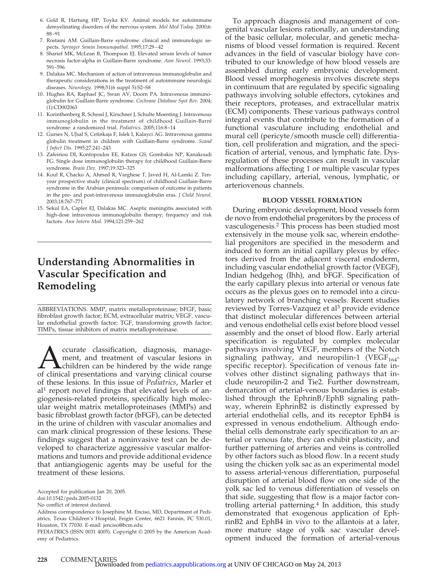- 6. Gold R, Hartung HP, Toyka KV. Animal models for autoimmune demyelinating disorders of the nervous system. *Mol Med Today.* 2000;6: 88 –91
- 7. Rostami AM. Guillain-Barre syndrome: clinical and immunologic aspects. *Springer Semin Immunopathol.* 1995;17:29 – 42
- 8. Sharief MK, McLean B, Thompson EJ. Elevated serum levels of tumor necrosis factor-alpha in Guillain-Barre syndrome. *Ann Neurol.* 1993;33: 591–596
- 9. Dalakas MC. Mechanism of action of intravenous immunoglobulin and therapeutic considerations in the treatment of autoimmune neurologic diseases. *Neurology.* 1998;51(6 suppl 5):S2–S8
- 10. Hughes RA, Raphael JC, Swan AV, Doorn PA. Intravenous immunoglobulin for Guillain-Barre syndrome. *Cochrane Database Syst Rev.* 2004; (1):CD002063
- 11. Korinthenberg R, Schessl J, Kirschner J, Schulte Moenting J. Intravenous immunoglobulin in the treatment of childhood Guillain-Barré syndrome: a randomized trial. *Pediatrics*. 2005;116:8-14
- 12. Gurses N, UJsal S, Cetinkaja F, Islek I, Kalayci AG. Intravenous gamma globulin treatment in children with Guillain-Barre syndrome. *Scand J Infect Dis.* 1995;27:241–243
- 13. Zafeiriou DI, Kontopoulos EE, Katzos GS, Gombakis NP, Kanakoudi FG. Single dose immunoglobulin therapy for childhood Guillain-Barre syndrome. *Brain Dev.* 1997;19:323–325
- 14. Koul R, Chacko A, Ahmed R, Varghese T, Javed H, Al-Lamki Z. Tenyear prospective study (clinical spectrum) of childhood Guillain-Barre syndrome in the Arabian peninsula: comparison of outcome in patients in the pre- and post-intravenous immunoglobulin eras. *J Child Neurol.* 2003;18:767–771
- 15. Sekul EA, Capler EJ, Dalakas MC. Aseptic meningitis associated with high-dose intravenous immunoglobulin therapy; frequency and risk factors. *Ann Intern Med.* 1994;121:259 –262

## **Understanding Abnormalities in Vascular Specification and Remodeling**

ABBREVIATIONS. MMP, matrix metalloproteinase; bFGF, basic fibroblast growth factor; ECM, extracellular matrix; VEGF, vascular endothelial growth factor; TGF, transforming growth factor; TIMPs, tissue inhibitors of matrix metalloproteinase.

**And Convertse Convertse Convertse Convertse Convertse Access** management, and treatment of vascular lesions in children can be hindered by the wide range of clinical presentations and varying clinical course ment, and treatment of vascular lesions in children can be hindered by the wide range of these lesions. In this issue of *Pediatrics*, Marler et  $al<sup>1</sup>$  report novel findings that elevated levels of angiogenesis-related proteins, specifically high molecular weight matrix metalloproteinases (MMPs) and basic fibroblast growth factor (bFGF), can be detected in the urine of children with vascular anomalies and can mark clinical progression of these lesions. These findings suggest that a noninvasive test can be developed to characterize aggressive vascular malformations and tumors and provide additional evidence that antiangiogenic agents may be useful for the treatment of these lesions.

To approach diagnosis and management of congenital vascular lesions rationally, an understanding of the basic cellular, molecular, and genetic mechanisms of blood vessel formation is required. Recent advances in the field of vascular biology have contributed to our knowledge of how blood vessels are assembled during early embryonic development. Blood vessel morphogenesis involves discrete steps in continuum that are regulated by specific signaling pathways involving soluble effectors, cytokines and their receptors, proteases, and extracellular matrix (ECM) components. These various pathways control integral events that contribute to the formation of a functional vasculature including endothelial and mural cell (pericyte/smooth muscle cell) differentiation, cell proliferation and migration, and the specification of arterial, venous, and lymphatic fate. Dysregulation of these processes can result in vascular malformations affecting 1 or multiple vascular types including capillary, arterial, venous, lymphatic, or arteriovenous channels.

#### **BLOOD VESSEL FORMATION**

During embryonic development, blood vessels form de novo from endothelial progenitors by the process of vasculogenesis.2 This process has been studied most extensively in the mouse yolk sac, wherein endothelial progenitors are specified in the mesoderm and induced to form an initial capillary plexus by effectors derived from the adjacent visceral endoderm, including vascular endothelial growth factor (VEGF), Indian hedgehog (Ihh), and bFGF. Specification of the early capillary plexus into arterial or venous fate occurs as the plexus goes on to remodel into a circulatory network of branching vessels. Recent studies reviewed by Torres-Vazquez et al<sup>3</sup> provide evidence that distinct molecular differences between arterial and venous endothelial cells exist before blood vessel assembly and the onset of blood flow. Early arterial specification is regulated by complex molecular pathways involving VEGF, members of the Notch signaling pathway, and neuropilin-1 (VEGF $_{164}$ specific receptor). Specification of venous fate involves other distinct signaling pathways that include neuropilin-2 and Tie2. Further downstream, demarcation of arterial-venous boundaries is established through the EphrinB/EphB signaling pathway, wherein EphrinB2 is distinctly expressed by arterial endothelial cells, and its receptor EphB4 is expressed in venous endothelium. Although endothelial cells demonstrate early specification to an arterial or venous fate, they can exhibit plasticity, and further patterning of arteries and veins is controlled by other factors such as blood flow. In a recent study using the chicken yolk sac as an experimental model to assess arterial-venous differentiation, purposeful disruption of arterial blood flow on one side of the yolk sac led to venous differentiation of vessels on that side, suggesting that flow is a major factor controlling arterial patterning.<sup>4</sup> In addition, this study demonstrated that exogenous application of EphrinB2 and EphB4 in vivo to the allantois at a later, more mature stage of yolk sac vascular development induced the formation of arterial-venous

Accepted for publication Jan 20, 2005.

doi:10.1542/peds.2005-0132

No conflict of interest declared.

Address correspondence to Josephine M. Enciso, MD, Department of Pediatrics, Texas Children's Hospital, Feigin Center, 6621 Fannin, FC 530.01, Houston, TX 77030. E-mail: jenciso@bcm.edu

PEDIATRICS (ISSN 0031 4005). Copyright © 2005 by the American Academy of Pediatrics.